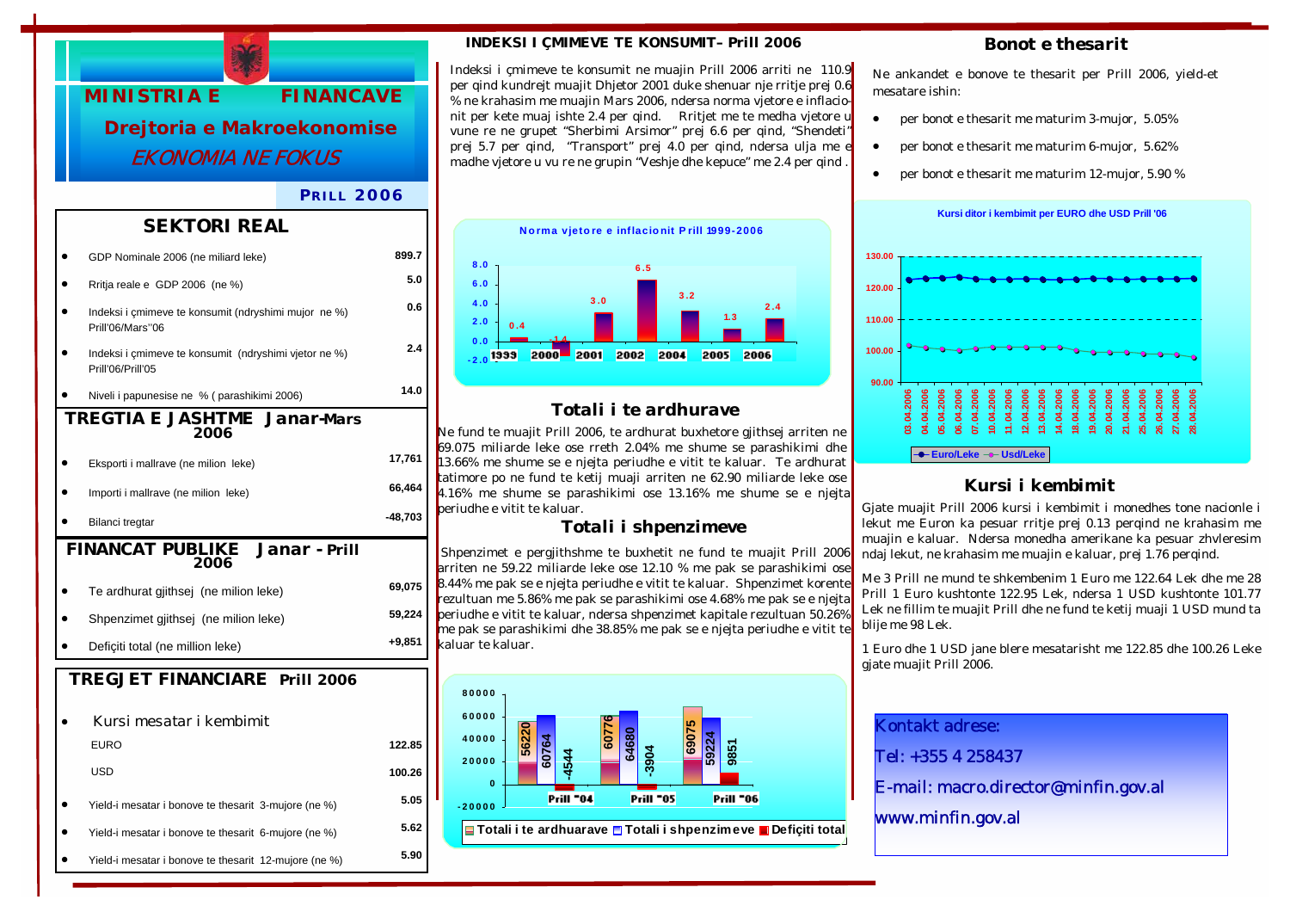

#### *P RILL 2006*

#### *SEKTORI REAL*

|                                               | GDP Nominale 2006 (ne miliard leke)                                        | 899.7     |  |  |
|-----------------------------------------------|----------------------------------------------------------------------------|-----------|--|--|
|                                               | Rritja reale e GDP 2006 (ne %)                                             | 5.0       |  |  |
|                                               | Indeksi i çmimeve te konsumit (ndryshimi mujor ne %)<br>Prill'06/Mars"06   | 0.6       |  |  |
|                                               | Indeksi i çmimeve te konsumit (ndryshimi vjetor ne %)<br>Prill'06/Prill'05 | 2.4       |  |  |
|                                               | Niveli i papunesise ne % (parashikimi 2006)                                | 14.0      |  |  |
| <b>TREGTIA E JASHTME Janar-Mars</b><br>2006   |                                                                            |           |  |  |
|                                               | Eksporti i mallrave (ne milion leke)                                       | 17,761    |  |  |
|                                               | Importi i mallrave (ne milion leke)                                        | 66,464    |  |  |
|                                               | Bilanci tregtar                                                            | $-48,703$ |  |  |
| <b>FINANCAT PUBLIKE</b> Janar - Prill<br>2006 |                                                                            |           |  |  |
|                                               |                                                                            |           |  |  |
|                                               | Te ardhurat gjithsej (ne milion leke)                                      | 69,075    |  |  |
|                                               | Shpenzimet gjithsej (ne milion leke)                                       | 59,224    |  |  |
|                                               | Deficiti total (ne million leke)                                           | $+9,851$  |  |  |
|                                               | <b>TREGJET FINANCIARE Prill 2006</b>                                       |           |  |  |
|                                               |                                                                            |           |  |  |
|                                               | Kursi mesatar i kembimit                                                   |           |  |  |
|                                               | <b>EURO</b>                                                                | 122.85    |  |  |
|                                               | <b>USD</b>                                                                 | 100.26    |  |  |
|                                               | Yield-i mesatar i bonove te thesarit 3-mujore (ne %)                       | 5.05      |  |  |

• Yield-i mesatar i bonove te thesarit 12-mujore (ne %) **5.90** 

#### *INDEKSI I ÇMIMEVE TE KONSUMIT– Prill 2006*

Indeksi i çmimeve te konsumit ne muajin Prill 2006 arriti ne 110.9 per qind kundrejt muajit Dhjetor 2001 duke shenuar nje rritje prej 0.6 % ne krahasim me muajin Mars 2006, ndersa norma vjetore e inflacionit per kete muaj ishte 2.4 per qind. Rritjet me te medha vjetore u vune re ne grupet "Sherbimi Arsimor" prej 6.6 per qind, "Shendeti" prej 5.7 per qind, "Transport" prej 4.0 per qind, ndersa ulja me e madhe vjetore u vu re ne grupin "Veshje dhe kepuce" me 2.4 per qind .



### *Totali i te ardhurave*

Ne fund te muajit Prill 2006, te ardhurat buxhetore gjithsej arriten ne 69.075 miliarde leke ose rreth 2.04% me shume se parashikimi dhe 13.66% me shume se e njejta periudhe e vitit te kaluar. Te ardhurat tatimore po ne fund te ketij muaji arriten ne 62.90 miliarde leke ose 4.16% me shume se parashikimi ose 13.16% me shume se e njejta periudhe e vitit te kaluar.

#### *Totali i shpenzimeve*

 Shpenzimet e pergjithshme te buxhetit ne fund te muajit Prill 2006 arriten ne 59.22 miliarde leke ose 12.10 % me pak se parashikimi ose 8.44% me pak se e njejta periudhe e vitit te kaluar. Shpenzimet korente rezultuan me 5.86% me pak se parashikimi ose 4.68% me pak se e njejta periudhe e vitit te kaluar, ndersa shpenzimet kapitale rezultuan 50.26% me pak se parashikimi dhe 38.85% me pak se e njejta periudhe e vitit te kaluar te kaluar.



**Totali i te ardhuarave Totali i shpenzimeve Defiçiti total**

#### *Bonot e thesarit*

Ne ankandet e bonove te thesarit per Prill 2006, yield-et mesatare ishin:

- per bonot e thesarit me maturim 3-mujor, 5.05%
- per bonot e thesarit me maturim 6-mujor, 5.62%
- per bonot e thesarit me maturim 12-mujor, 5.90 %



# *Kursi i kembimit*

Gjate muajit Prill 2006 kursi i kembimit i monedhes tone nacionle i lekut me Euron ka pesuar rritje prej 0.13 perqind ne krahasim me muajin e kaluar. Ndersa monedha amerikane ka pesuar zhvleresim ndaj lekut, ne krahasim me muajin e kaluar, prej 1.76 perqind.

Me 3 Prill ne mund te shkembenim 1 Euro me 122.64 Lek dhe me 28 Prill 1 Euro kushtonte 122.95 Lek, ndersa 1 USD kushtonte 101.77 Lek ne fillim te muajit Prill dhe ne fund te ketij muaji 1 USD mund ta blije me 98 Lek.

1 Euro dhe 1 USD jane blere mesatarisht me 122.85 dhe 100.26 Leke gjate muajit Prill 2006.

Kontakt adrese:

Tel: +355 4 258437

E-mail: macro.director@minfin.gov.al

www.minfin.gov.al